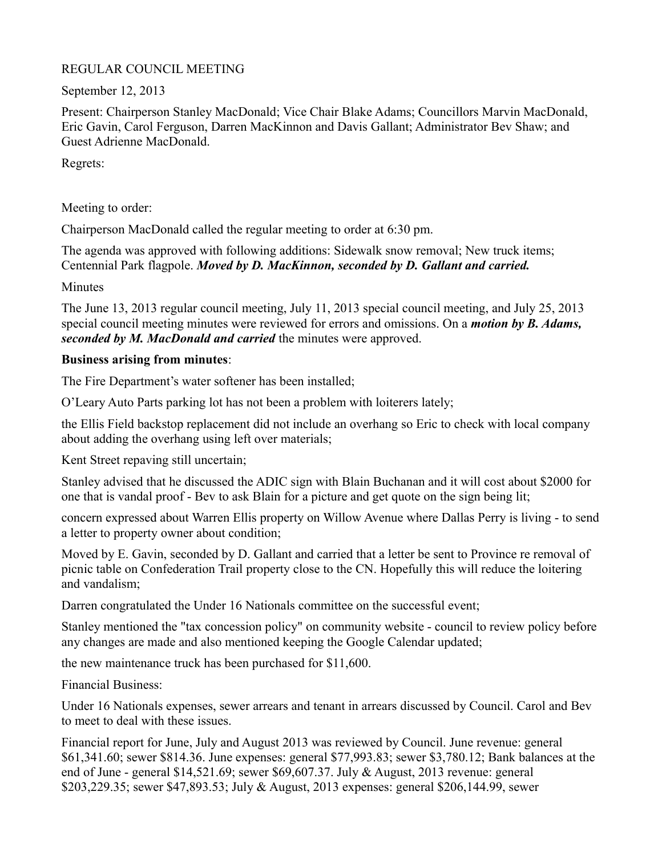### REGULAR COUNCIL MEETING

September 12, 2013

Present: Chairperson Stanley MacDonald; Vice Chair Blake Adams; Councillors Marvin MacDonald, Eric Gavin, Carol Ferguson, Darren MacKinnon and Davis Gallant; Administrator Bev Shaw; and Guest Adrienne MacDonald.

Regrets:

Meeting to order:

Chairperson MacDonald called the regular meeting to order at 6:30 pm.

The agenda was approved with following additions: Sidewalk snow removal; New truck items; Centennial Park flagpole. *Moved by D. MacKinnon, seconded by D. Gallant and carried.*

**Minutes** 

The June 13, 2013 regular council meeting, July 11, 2013 special council meeting, and July 25, 2013 special council meeting minutes were reviewed for errors and omissions. On a *motion by B. Adams, seconded by M. MacDonald and carried* the minutes were approved.

# **Business arising from minutes**:

The Fire Department's water softener has been installed;

O'Leary Auto Parts parking lot has not been a problem with loiterers lately;

the Ellis Field backstop replacement did not include an overhang so Eric to check with local company about adding the overhang using left over materials;

Kent Street repaving still uncertain;

Stanley advised that he discussed the ADIC sign with Blain Buchanan and it will cost about \$2000 for one that is vandal proof - Bev to ask Blain for a picture and get quote on the sign being lit;

concern expressed about Warren Ellis property on Willow Avenue where Dallas Perry is living - to send a letter to property owner about condition;

Moved by E. Gavin, seconded by D. Gallant and carried that a letter be sent to Province re removal of picnic table on Confederation Trail property close to the CN. Hopefully this will reduce the loitering and vandalism;

Darren congratulated the Under 16 Nationals committee on the successful event;

Stanley mentioned the "tax concession policy" on community website - council to review policy before any changes are made and also mentioned keeping the Google Calendar updated;

the new maintenance truck has been purchased for \$11,600.

Financial Business:

Under 16 Nationals expenses, sewer arrears and tenant in arrears discussed by Council. Carol and Bev to meet to deal with these issues.

Financial report for June, July and August 2013 was reviewed by Council. June revenue: general \$61,341.60; sewer \$814.36. June expenses: general \$77,993.83; sewer \$3,780.12; Bank balances at the end of June - general \$14,521.69; sewer \$69,607.37. July & August, 2013 revenue: general \$203,229.35; sewer \$47,893.53; July & August, 2013 expenses: general \$206,144.99, sewer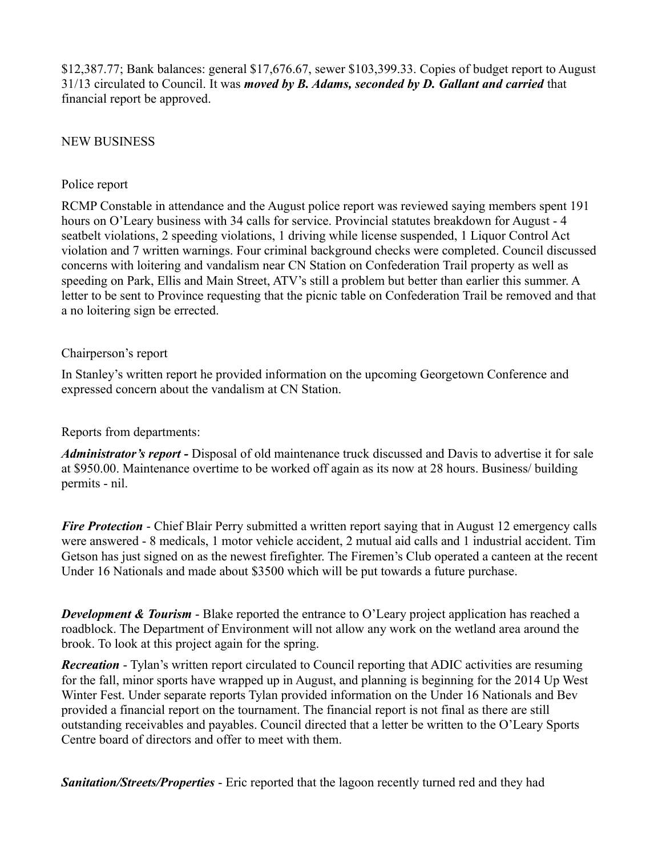\$12,387.77; Bank balances: general \$17,676.67, sewer \$103,399.33. Copies of budget report to August 31/13 circulated to Council. It was *moved by B. Adams, seconded by D. Gallant and carried* that financial report be approved.

#### NEW BUSINESS

#### Police report

RCMP Constable in attendance and the August police report was reviewed saying members spent 191 hours on O'Leary business with 34 calls for service. Provincial statutes breakdown for August - 4 seatbelt violations, 2 speeding violations, 1 driving while license suspended, 1 Liquor Control Act violation and 7 written warnings. Four criminal background checks were completed. Council discussed concerns with loitering and vandalism near CN Station on Confederation Trail property as well as speeding on Park, Ellis and Main Street, ATV's still a problem but better than earlier this summer. A letter to be sent to Province requesting that the picnic table on Confederation Trail be removed and that a no loitering sign be errected.

#### Chairperson's report

In Stanley's written report he provided information on the upcoming Georgetown Conference and expressed concern about the vandalism at CN Station.

#### Reports from departments:

*Administrator's report -* Disposal of old maintenance truck discussed and Davis to advertise it for sale at \$950.00. Maintenance overtime to be worked off again as its now at 28 hours. Business/ building permits - nil.

*Fire Protection* - Chief Blair Perry submitted a written report saying that in August 12 emergency calls were answered - 8 medicals, 1 motor vehicle accident, 2 mutual aid calls and 1 industrial accident. Tim Getson has just signed on as the newest firefighter. The Firemen's Club operated a canteen at the recent Under 16 Nationals and made about \$3500 which will be put towards a future purchase.

*Development & Tourism* - Blake reported the entrance to O'Leary project application has reached a roadblock. The Department of Environment will not allow any work on the wetland area around the brook. To look at this project again for the spring.

*Recreation* - Tylan's written report circulated to Council reporting that ADIC activities are resuming for the fall, minor sports have wrapped up in August, and planning is beginning for the 2014 Up West Winter Fest. Under separate reports Tylan provided information on the Under 16 Nationals and Bev provided a financial report on the tournament. The financial report is not final as there are still outstanding receivables and payables. Council directed that a letter be written to the O'Leary Sports Centre board of directors and offer to meet with them.

*Sanitation/Streets/Properties* - Eric reported that the lagoon recently turned red and they had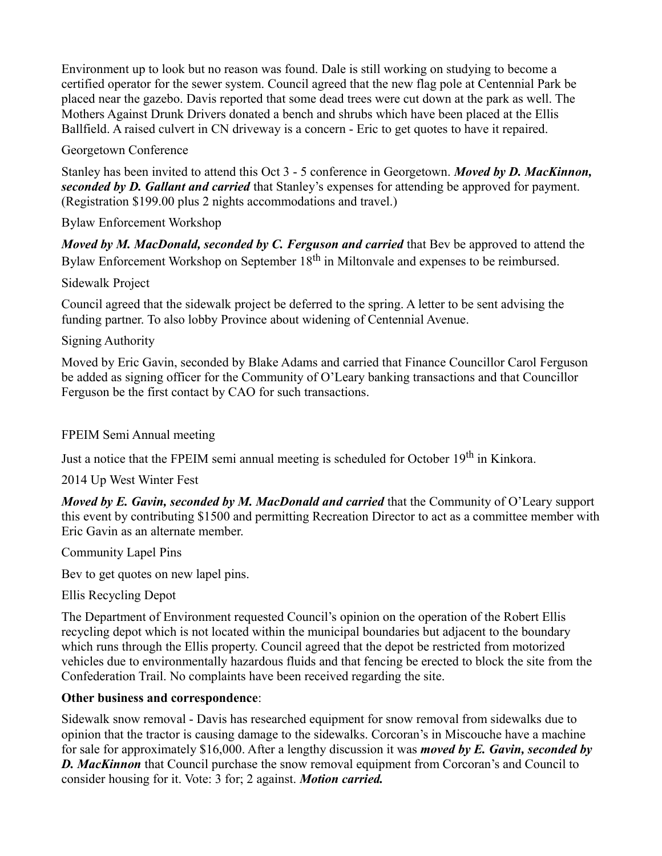Environment up to look but no reason was found. Dale is still working on studying to become a certified operator for the sewer system. Council agreed that the new flag pole at Centennial Park be placed near the gazebo. Davis reported that some dead trees were cut down at the park as well. The Mothers Against Drunk Drivers donated a bench and shrubs which have been placed at the Ellis Ballfield. A raised culvert in CN driveway is a concern - Eric to get quotes to have it repaired.

# Georgetown Conference

Stanley has been invited to attend this Oct 3 - 5 conference in Georgetown. *Moved by D. MacKinnon, seconded by D. Gallant and carried* that Stanley's expenses for attending be approved for payment. (Registration \$199.00 plus 2 nights accommodations and travel.)

Bylaw Enforcement Workshop

*Moved by M. MacDonald, seconded by C. Ferguson and carried that Bev be approved to attend the* Bylaw Enforcement Workshop on September 18<sup>th</sup> in Miltonvale and expenses to be reimbursed.

Sidewalk Project

Council agreed that the sidewalk project be deferred to the spring. A letter to be sent advising the funding partner. To also lobby Province about widening of Centennial Avenue.

# Signing Authority

Moved by Eric Gavin, seconded by Blake Adams and carried that Finance Councillor Carol Ferguson be added as signing officer for the Community of O'Leary banking transactions and that Councillor Ferguson be the first contact by CAO for such transactions.

### FPEIM Semi Annual meeting

Just a notice that the FPEIM semi annual meeting is scheduled for October 19<sup>th</sup> in Kinkora.

2014 Up West Winter Fest

*Moved by E. Gavin, seconded by M. MacDonald and carried* that the Community of O'Leary support this event by contributing \$1500 and permitting Recreation Director to act as a committee member with Eric Gavin as an alternate member.

Community Lapel Pins

Bev to get quotes on new lapel pins.

Ellis Recycling Depot

The Department of Environment requested Council's opinion on the operation of the Robert Ellis recycling depot which is not located within the municipal boundaries but adjacent to the boundary which runs through the Ellis property. Council agreed that the depot be restricted from motorized vehicles due to environmentally hazardous fluids and that fencing be erected to block the site from the Confederation Trail. No complaints have been received regarding the site.

# **Other business and correspondence**:

Sidewalk snow removal - Davis has researched equipment for snow removal from sidewalks due to opinion that the tractor is causing damage to the sidewalks. Corcoran's in Miscouche have a machine for sale for approximately \$16,000. After a lengthy discussion it was *moved by E. Gavin, seconded by D. MacKinnon* that Council purchase the snow removal equipment from Corcoran's and Council to consider housing for it. Vote: 3 for; 2 against. *Motion carried.*